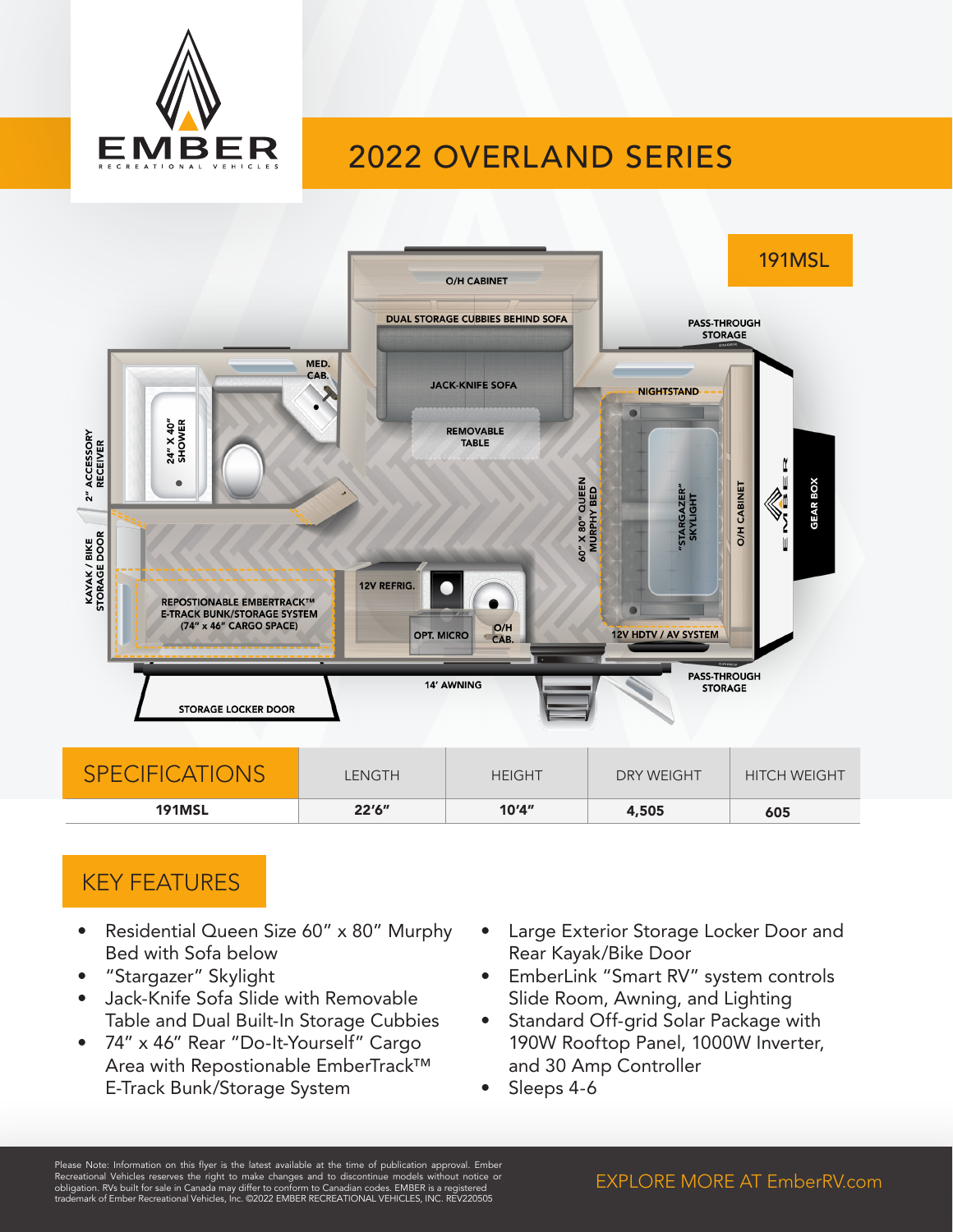

# 2022 OVERLAND SERIES



### KEY FEATURES

- Residential Queen Size 60" x 80" Murphy Bed with Sofa below
- "Stargazer" Skylight
- Jack-Knife Sofa Slide with Removable Table and Dual Built-In Storage Cubbies
- 74" x 46" Rear "Do-It-Yourself" Cargo Area with Repostionable EmberTrack™ E-Track Bunk/Storage System
- Large Exterior Storage Locker Door and Rear Kayak/Bike Door
- EmberLink "Smart RV" system controls Slide Room, Awning, and Lighting
- Standard Off-grid Solar Package with 190W Rooftop Panel, 1000W Inverter, and 30 Amp Controller
- Sleeps 4-6